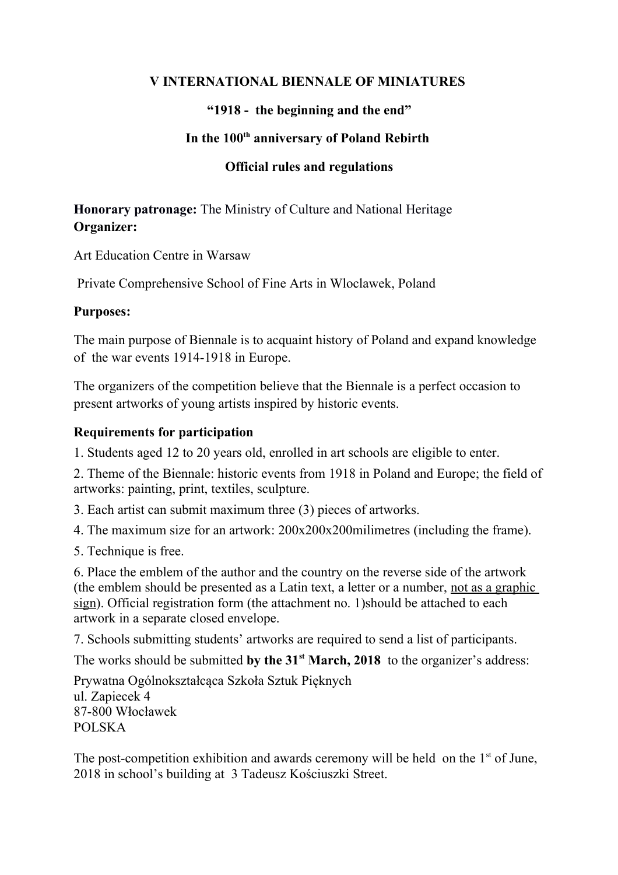#### **V INTERNATIONAL BIENNALE OF MINIATURES**

# **"1918 - the beginning and the end"**

## **In the 100th anniversary of Poland Rebirth**

# **Official rules and regulations**

**Honorary patronage:** The Ministry of Culture and National Heritage **Organizer:** 

Art Education Centre in Warsaw

Private Comprehensive School of Fine Arts in Wloclawek, Poland

## **Purposes:**

The main purpose of Biennale is to acquaint history of Poland and expand knowledge of the war events 1914-1918 in Europe.

The organizers of the competition believe that the Biennale is a perfect occasion to present artworks of young artists inspired by historic events.

# **Requirements for participation**

1. Students aged 12 to 20 years old, enrolled in art schools are eligible to enter.

2. Theme of the Biennale: historic events from 1918 in Poland and Europe; the field of artworks: painting, print, textiles, sculpture.

3. Each artist can submit maximum three (3) pieces of artworks.

4. The maximum size for an artwork: 200x200x200milimetres (including the frame).

5. Technique is free.

6. Place the emblem of the author and the country on the reverse side of the artwork (the emblem should be presented as a Latin text, a letter or a number, not as a graphic sign). Official registration form (the attachment no. 1)should be attached to each artwork in a separate closed envelope.

7. Schools submitting students' artworks are required to send a list of participants.

The works should be submitted by the 31<sup>st</sup> March, 2018 to the organizer's address:

Prywatna Ogólnokształcąca Szkoła Sztuk Pięknych ul. Zapiecek 4 87-800 Włocławek POLSKA

The post-competition exhibition and awards ceremony will be held on the  $1<sup>st</sup>$  of June, 2018 in school's building at 3 Tadeusz Kościuszki Street.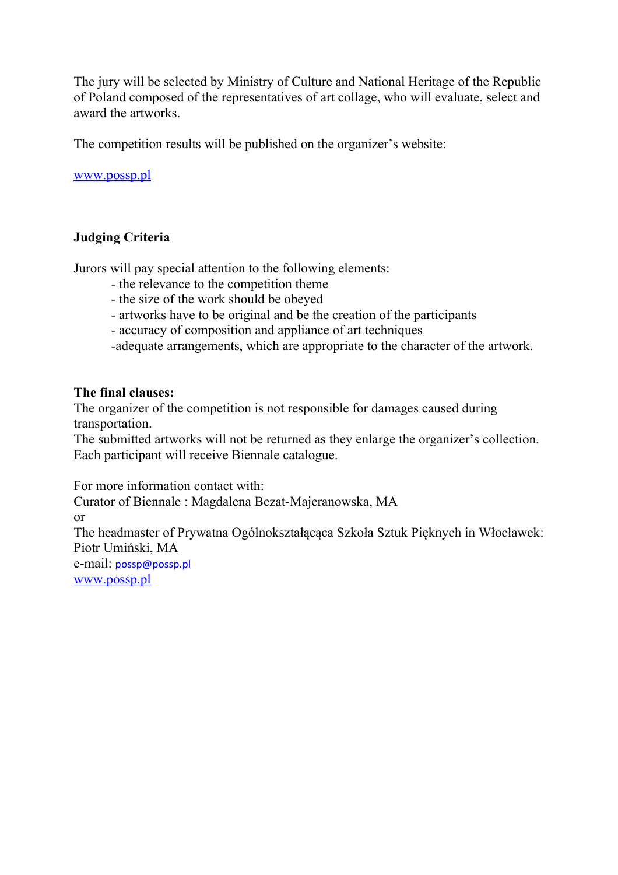The jury will be selected by Ministry of Culture and National Heritage of the Republic of Poland composed of the representatives of art collage, who will evaluate, select and award the artworks.

The competition results will be published on the organizer's website:

[www.possp.pl](http://www.possp.pl/)

## **Judging Criteria**

Jurors will pay special attention to the following elements:

- the relevance to the competition theme
- the size of the work should be obeyed
- artworks have to be original and be the creation of the participants
- accuracy of composition and appliance of art techniques
- -adequate arrangements, which are appropriate to the character of the artwork.

#### **The final clauses:**

The organizer of the competition is not responsible for damages caused during transportation.

The submitted artworks will not be returned as they enlarge the organizer's collection. Each participant will receive Biennale catalogue.

For more information contact with:

Curator of Biennale : Magdalena Bezat-Majeranowska, MA

or

The headmaster of Prywatna Ogólnokształącąca Szkoła Sztuk Pięknych in Włocławek: Piotr Umiński, MA

e-mail: [possp@possp.pl](mailto:possp@possp.pl) [www.possp.pl](http://www.possp.pl/)